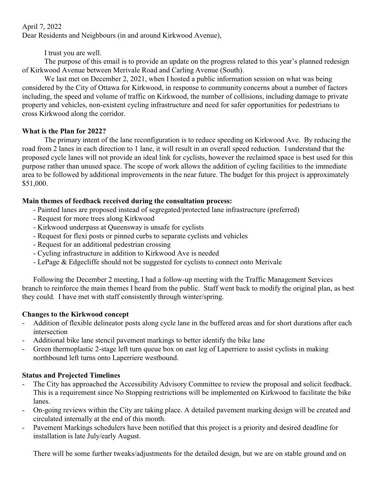April 7, 2022 Dear Residents and Neighbours (in and around Kirkwood Avenue),

I trust you are well.

The purpose of this email is to provide an update on the progress related to this year's planned redesign of Kirkwood Avenue between Merivale Road and Carling Avenue (South).

We last met on December 2, 2021, when I hosted a public information session on what was being considered by the City of Ottawa for Kirkwood, in response to community concerns about a number of factors including, the speed and volume of traffic on Kirkwood, the number of collisions, including damage to private property and vehicles, non-existent cycling infrastructure and need for safer opportunities for pedestrians to cross Kirkwood along the corridor.

## **What is the Plan for 2022?**

The primary intent of the lane reconfiguration is to reduce speeding on Kirkwood Ave. By reducing the road from 2 lanes in each direction to 1 lane, it will result in an overall speed reduction. I understand that the proposed cycle lanes will not provide an ideal link for cyclists, however the reclaimed space is best used for this purpose rather than unused space. The scope of work allows the addition of cycling facilities to the immediate area to be followed by additional improvements in the near future. The budget for this project is approximately \$51,000.

## **Main themes of feedback received during the consultation process:**

- Painted lanes are proposed instead of segregated/protected lane infrastructure (preferred)
- Request for more trees along Kirkwood
- Kirkwood underpass at Queensway is unsafe for cyclists
- Request for flexi posts or pinned curbs to separate cyclists and vehicles
- Request for an additional pedestrian crossing
- Cycling infrastructure in addition to Kirkwood Ave is needed
- LePage & Edgecliffe should not be suggested for cyclists to connect onto Merivale

Following the December 2 meeting, I had a follow-up meeting with the Traffic Management Services branch to reinforce the main themes I heard from the public. Staff went back to modify the original plan, as best they could. I have met with staff consistently through winter/spring.

## **Changes to the Kirkwood concept**

- Addition of flexible delineator posts along cycle lane in the buffered areas and for short durations after each intersection
- Additional bike lane stencil pavement markings to better identify the bike lane
- Green thermoplastic 2-stage left turn queue box on east leg of Laperriere to assist cyclists in making northbound left turns onto Laperriere westbound.

## **Status and Projected Timelines**

- The City has approached the Accessibility Advisory Committee to review the proposal and solicit feedback. This is a requirement since No Stopping restrictions will be implemented on Kirkwood to facilitate the bike lanes.
- On-going reviews within the City are taking place. A detailed pavement marking design will be created and circulated internally at the end of this month.
- Pavement Markings schedulers have been notified that this project is a priority and desired deadline for installation is late July/early August.

There will be some further tweaks/adjustments for the detailed design, but we are on stable ground and on